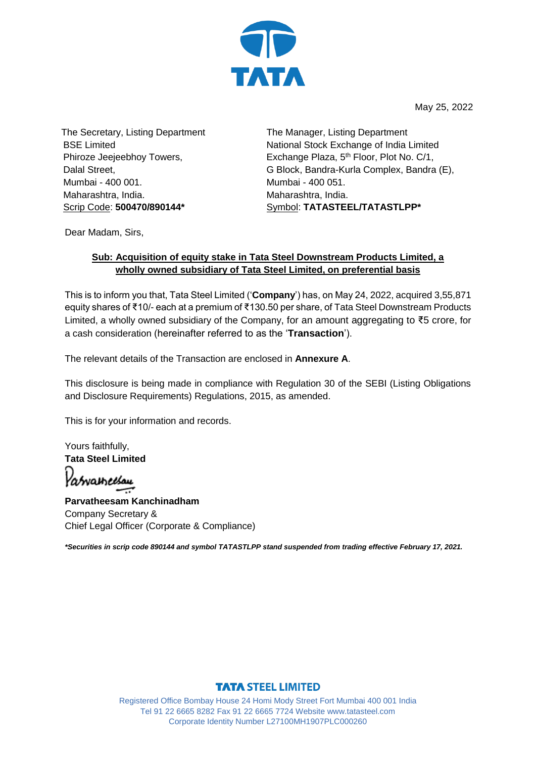

May 25, 2022

The Secretary, Listing Department BSE Limited Phiroze Jeejeebhoy Towers, Dalal Street, Mumbai - 400 001. Maharashtra, India. Scrip Code: **500470/890144\***

 The Manager, Listing Department National Stock Exchange of India Limited Exchange Plaza, 5<sup>th</sup> Floor, Plot No. C/1, G Block, Bandra-Kurla Complex, Bandra (E), Mumbai - 400 051. Maharashtra, India. Symbol: **TATASTEEL/TATASTLPP\***

Dear Madam, Sirs,

## **Sub: Acquisition of equity stake in Tata Steel Downstream Products Limited, a wholly owned subsidiary of Tata Steel Limited, on preferential basis**

This is to inform you that, Tata Steel Limited ('**Company**') has, on May 24, 2022, acquired 3,55,871 equity shares of ₹10/- each at a premium of ₹130.50 per share, of Tata Steel Downstream Products Limited, a wholly owned subsidiary of the Company, for an amount aggregating to ₹5 crore, for a cash consideration (hereinafter referred to as the '**Transaction**').

The relevant details of the Transaction are enclosed in **Annexure A**.

This disclosure is being made in compliance with Regulation 30 of the SEBI (Listing Obligations and Disclosure Requirements) Regulations, 2015, as amended.

This is for your information and records.

Yours faithfully, **Tata Steel Limited** 

Patvameesau

**Parvatheesam Kanchinadham** Company Secretary & Chief Legal Officer (Corporate & Compliance)

*\*Securities in scrip code 890144 and symbol TATASTLPP stand suspended from trading effective February 17, 2021.*

## **TATA STEEL LIMITED**

Registered Office Bombay House 24 Homi Mody Street Fort Mumbai 400 001 India Tel 91 22 6665 8282 Fax 91 22 6665 7724 Website www.tatasteel.com Corporate Identity Number L27100MH1907PLC000260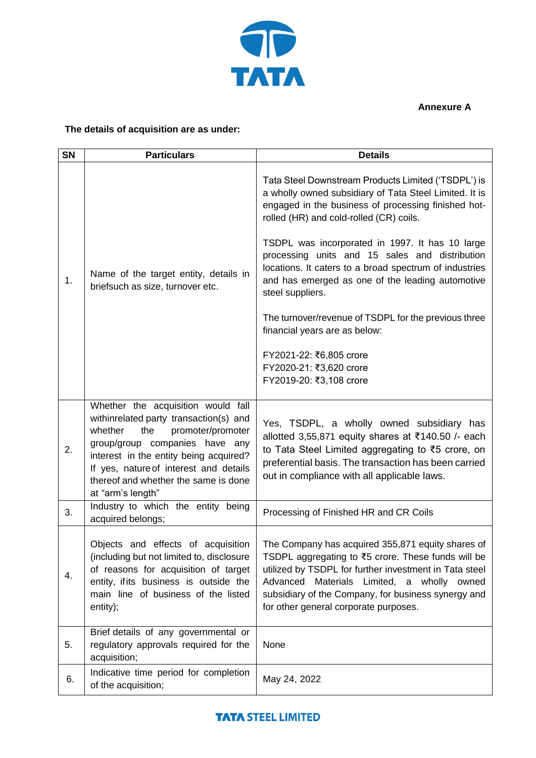

**Annexure A**

## **The details of acquisition are as under:**

| <b>SN</b> | <b>Particulars</b>                                                                                                                                                                                                                                                                                     | <b>Details</b>                                                                                                                                                                                                                                                                                                     |  |  |  |
|-----------|--------------------------------------------------------------------------------------------------------------------------------------------------------------------------------------------------------------------------------------------------------------------------------------------------------|--------------------------------------------------------------------------------------------------------------------------------------------------------------------------------------------------------------------------------------------------------------------------------------------------------------------|--|--|--|
| 1.        | Name of the target entity, details in<br>briefsuch as size, turnover etc.                                                                                                                                                                                                                              | Tata Steel Downstream Products Limited ('TSDPL') is<br>a wholly owned subsidiary of Tata Steel Limited. It is<br>engaged in the business of processing finished hot-<br>rolled (HR) and cold-rolled (CR) coils.                                                                                                    |  |  |  |
|           |                                                                                                                                                                                                                                                                                                        | TSDPL was incorporated in 1997. It has 10 large<br>processing units and 15 sales and distribution<br>locations. It caters to a broad spectrum of industries<br>and has emerged as one of the leading automotive<br>steel suppliers.                                                                                |  |  |  |
|           |                                                                                                                                                                                                                                                                                                        | The turnover/revenue of TSDPL for the previous three<br>financial years are as below:                                                                                                                                                                                                                              |  |  |  |
|           |                                                                                                                                                                                                                                                                                                        | FY2021-22: ₹6,805 crore<br>FY2020-21: ₹3,620 crore<br>FY2019-20: ₹3,108 crore                                                                                                                                                                                                                                      |  |  |  |
| 2.        | Whether the acquisition would fall<br>withinrelated party transaction(s) and<br>whether<br>the<br>promoter/promoter<br>group/group companies have any<br>interest in the entity being acquired?<br>If yes, nature of interest and details<br>thereof and whether the same is done<br>at "arm's length" | Yes, TSDPL, a wholly owned subsidiary has<br>allotted 3,55,871 equity shares at ₹140.50 /- each<br>to Tata Steel Limited aggregating to ₹5 crore, on<br>preferential basis. The transaction has been carried<br>out in compliance with all applicable laws.                                                        |  |  |  |
| 3.        | Industry to which the entity being<br>acquired belongs;                                                                                                                                                                                                                                                | Processing of Finished HR and CR Coils                                                                                                                                                                                                                                                                             |  |  |  |
| 4.        | Objects and effects of acquisition<br>(including but not limited to, disclosure<br>of reasons for acquisition of target<br>entity, if its business is outside the<br>main line of business of the listed<br>entity);                                                                                   | The Company has acquired 355,871 equity shares of<br>TSDPL aggregating to ₹5 crore. These funds will be<br>utilized by TSDPL for further investment in Tata steel<br>Materials Limited, a wholly owned<br>Advanced<br>subsidiary of the Company, for business synergy and<br>for other general corporate purposes. |  |  |  |
| 5.        | Brief details of any governmental or<br>regulatory approvals required for the<br>acquisition;                                                                                                                                                                                                          | None                                                                                                                                                                                                                                                                                                               |  |  |  |
| 6.        | Indicative time period for completion<br>of the acquisition;                                                                                                                                                                                                                                           | May 24, 2022                                                                                                                                                                                                                                                                                                       |  |  |  |

## **TATA STEEL LIMITED**